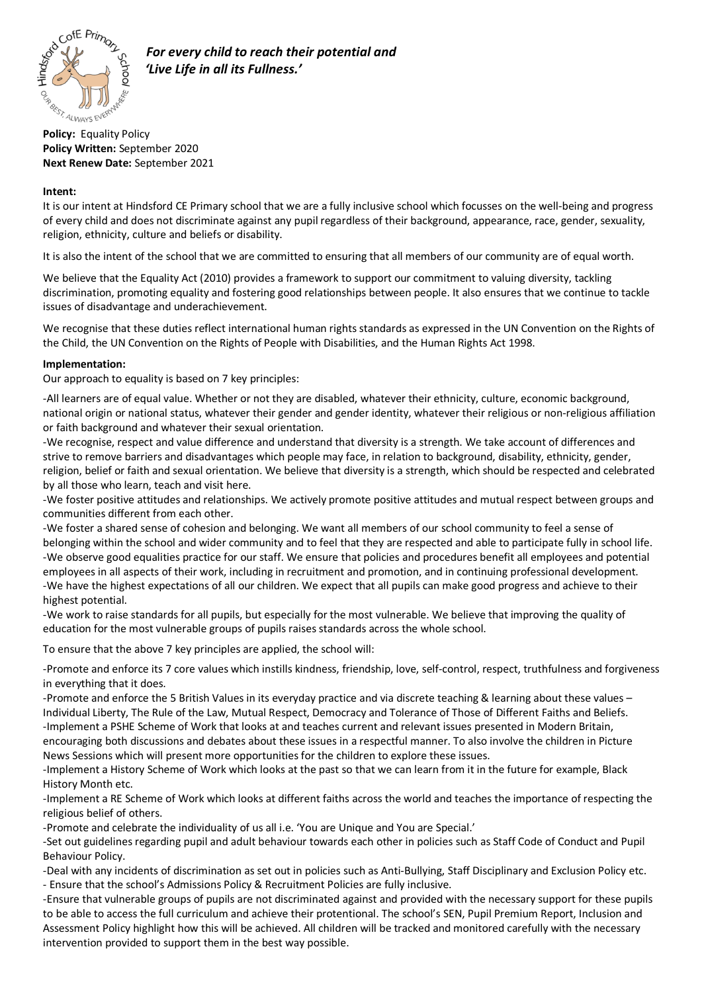

 *For every child to reach their potential and 'Live Life in all its Fullness.'*

**Policy Written:** September 2020 **Next Renew Date:** September 2021

## **Intent:**

It is our intent at Hindsford CE Primary school that we are a fully inclusive school which focusses on the well-being and progress of every child and does not discriminate against any pupil regardless of their background, appearance, race, gender, sexuality, religion, ethnicity, culture and beliefs or disability.

It is also the intent of the school that we are committed to ensuring that all members of our community are of equal worth.

We believe that the Equality Act (2010) provides a framework to support our commitment to valuing diversity, tackling discrimination, promoting equality and fostering good relationships between people. It also ensures that we continue to tackle issues of disadvantage and underachievement.

We recognise that these duties reflect international human rights standards as expressed in the UN Convention on the Rights of the Child, the UN Convention on the Rights of People with Disabilities, and the Human Rights Act 1998.

## **Implementation:**

Our approach to equality is based on 7 key principles:

-All learners are of equal value. Whether or not they are disabled, whatever their ethnicity, culture, economic background, national origin or national status, whatever their gender and gender identity, whatever their religious or non-religious affiliation or faith background and whatever their sexual orientation.

-We recognise, respect and value difference and understand that diversity is a strength. We take account of differences and strive to remove barriers and disadvantages which people may face, in relation to background, disability, ethnicity, gender, religion, belief or faith and sexual orientation. We believe that diversity is a strength, which should be respected and celebrated by all those who learn, teach and visit here.

-We foster positive attitudes and relationships. We actively promote positive attitudes and mutual respect between groups and communities different from each other.

-We foster a shared sense of cohesion and belonging. We want all members of our school community to feel a sense of belonging within the school and wider community and to feel that they are respected and able to participate fully in school life. -We observe good equalities practice for our staff. We ensure that policies and procedures benefit all employees and potential employees in all aspects of their work, including in recruitment and promotion, and in continuing professional development. -We have the highest expectations of all our children. We expect that all pupils can make good progress and achieve to their highest potential.

-We work to raise standards for all pupils, but especially for the most vulnerable. We believe that improving the quality of education for the most vulnerable groups of pupils raises standards across the whole school.

To ensure that the above 7 key principles are applied, the school will:

-Promote and enforce its 7 core values which instills kindness, friendship, love, self-control, respect, truthfulness and forgiveness in everything that it does.

-Promote and enforce the 5 British Values in its everyday practice and via discrete teaching & learning about these values – Individual Liberty, The Rule of the Law, Mutual Respect, Democracy and Tolerance of Those of Different Faiths and Beliefs. -Implement a PSHE Scheme of Work that looks at and teaches current and relevant issues presented in Modern Britain, encouraging both discussions and debates about these issues in a respectful manner. To also involve the children in Picture News Sessions which will present more opportunities for the children to explore these issues.

-Implement a History Scheme of Work which looks at the past so that we can learn from it in the future for example, Black History Month etc.

-Implement a RE Scheme of Work which looks at different faiths across the world and teaches the importance of respecting the religious belief of others.

-Promote and celebrate the individuality of us all i.e. 'You are Unique and You are Special.'

-Set out guidelines regarding pupil and adult behaviour towards each other in policies such as Staff Code of Conduct and Pupil Behaviour Policy.

-Deal with any incidents of discrimination as set out in policies such as Anti-Bullying, Staff Disciplinary and Exclusion Policy etc. - Ensure that the school's Admissions Policy & Recruitment Policies are fully inclusive.

-Ensure that vulnerable groups of pupils are not discriminated against and provided with the necessary support for these pupils to be able to access the full curriculum and achieve their protentional. The school's SEN, Pupil Premium Report, Inclusion and Assessment Policy highlight how this will be achieved. All children will be tracked and monitored carefully with the necessary intervention provided to support them in the best way possible.